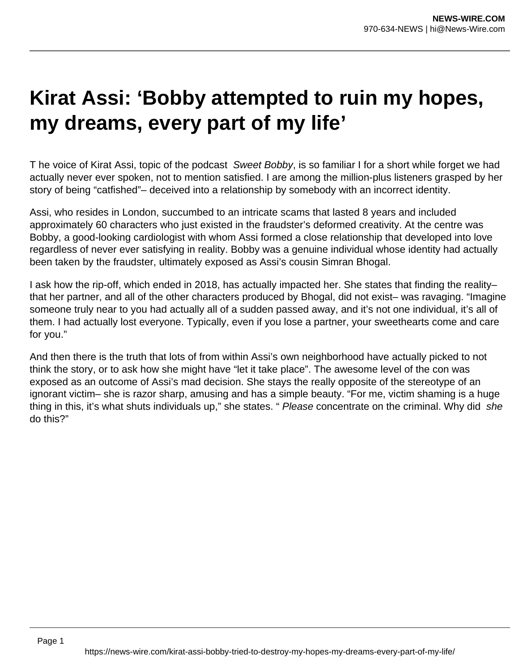## **Kirat Assi: 'Bobby attempted to ruin my hopes, my dreams, every part of my life'**

T he voice of Kirat Assi, topic of the podcast Sweet Bobby, is so familiar I for a short while forget we had actually never ever spoken, not to mention satisfied. I are among the million-plus listeners grasped by her story of being "catfished"– deceived into a relationship by somebody with an incorrect identity.

Assi, who resides in London, succumbed to an intricate scams that lasted 8 years and included approximately 60 characters who just existed in the fraudster's deformed creativity. At the centre was Bobby, a good-looking cardiologist with whom Assi formed a close relationship that developed into love regardless of never ever satisfying in reality. Bobby was a genuine individual whose identity had actually been taken by the fraudster, ultimately exposed as Assi's cousin Simran Bhogal.

I ask how the rip-off, which ended in 2018, has actually impacted her. She states that finding the reality– that her partner, and all of the other characters produced by Bhogal, did not exist– was ravaging. "Imagine someone truly near to you had actually all of a sudden passed away, and it's not one individual, it's all of them. I had actually lost everyone. Typically, even if you lose a partner, your sweethearts come and care for you."

And then there is the truth that lots of from within Assi's own neighborhood have actually picked to not think the story, or to ask how she might have "let it take place". The awesome level of the con was exposed as an outcome of Assi's mad decision. She stays the really opposite of the stereotype of an ignorant victim– she is razor sharp, amusing and has a simple beauty. "For me, victim shaming is a huge thing in this, it's what shuts individuals up," she states. " Please concentrate on the criminal. Why did she do this?"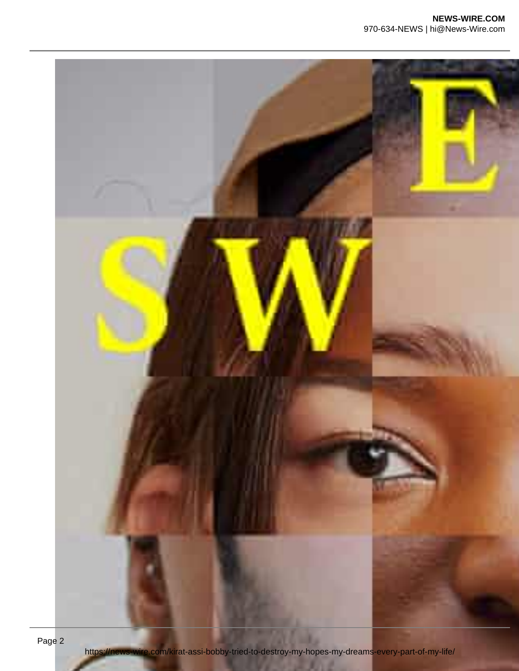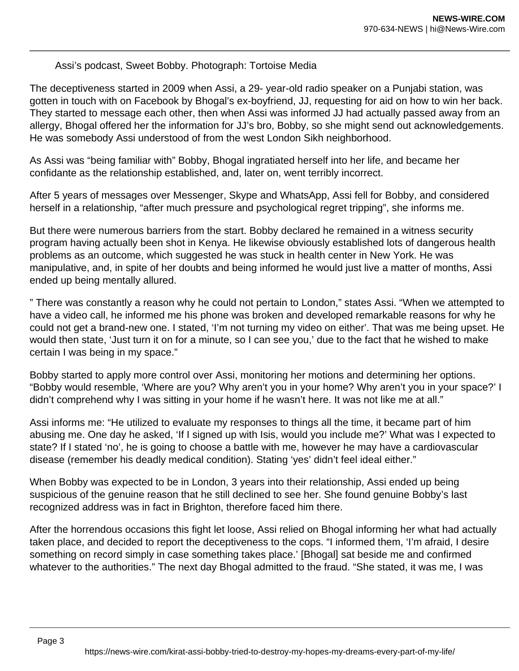## Assi's podcast, Sweet Bobby. Photograph: Tortoise Media

The deceptiveness started in 2009 when Assi, a 29- year-old radio speaker on a Punjabi station, was gotten in touch with on Facebook by Bhogal's ex-boyfriend, JJ, requesting for aid on how to win her back. They started to message each other, then when Assi was informed JJ had actually passed away from an allergy, Bhogal offered her the information for JJ's bro, Bobby, so she might send out acknowledgements. He was somebody Assi understood of from the west London Sikh neighborhood.

As Assi was "being familiar with" Bobby, Bhogal ingratiated herself into her life, and became her confidante as the relationship established, and, later on, went terribly incorrect.

After 5 years of messages over Messenger, Skype and WhatsApp, Assi fell for Bobby, and considered herself in a relationship, "after much pressure and psychological regret tripping", she informs me.

But there were numerous barriers from the start. Bobby declared he remained in a witness security program having actually been shot in Kenya. He likewise obviously established lots of dangerous health problems as an outcome, which suggested he was stuck in health center in New York. He was manipulative, and, in spite of her doubts and being informed he would just live a matter of months, Assi ended up being mentally allured.

" There was constantly a reason why he could not pertain to London," states Assi. "When we attempted to have a video call, he informed me his phone was broken and developed remarkable reasons for why he could not get a brand-new one. I stated, 'I'm not turning my video on either'. That was me being upset. He would then state, 'Just turn it on for a minute, so I can see you,' due to the fact that he wished to make certain I was being in my space."

Bobby started to apply more control over Assi, monitoring her motions and determining her options. "Bobby would resemble, 'Where are you? Why aren't you in your home? Why aren't you in your space?' I didn't comprehend why I was sitting in your home if he wasn't here. It was not like me at all."

Assi informs me: "He utilized to evaluate my responses to things all the time, it became part of him abusing me. One day he asked, 'If I signed up with Isis, would you include me?' What was I expected to state? If I stated 'no', he is going to choose a battle with me, however he may have a cardiovascular disease (remember his deadly medical condition). Stating 'yes' didn't feel ideal either."

When Bobby was expected to be in London, 3 years into their relationship, Assi ended up being suspicious of the genuine reason that he still declined to see her. She found genuine Bobby's last recognized address was in fact in Brighton, therefore faced him there.

After the horrendous occasions this fight let loose, Assi relied on Bhogal informing her what had actually taken place, and decided to report the deceptiveness to the cops. "I informed them, 'I'm afraid, I desire something on record simply in case something takes place.' [Bhogal] sat beside me and confirmed whatever to the authorities." The next day Bhogal admitted to the fraud. "She stated, it was me, I was